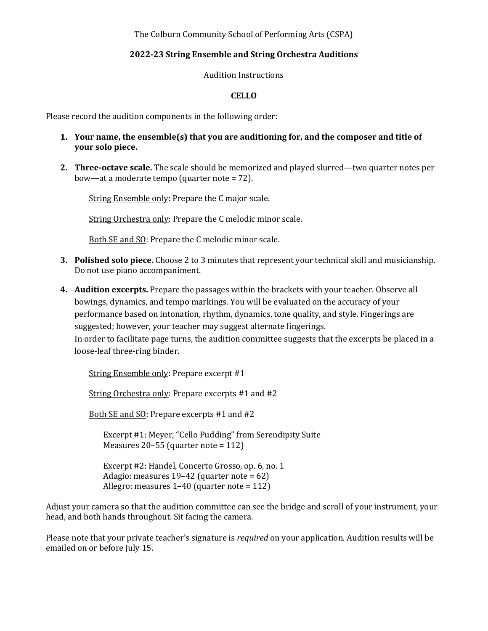The Colburn Community School of Performing Arts (CSPA)

## **2022-23 String Ensemble and String Orchestra Auditions**

Audition Instructions

## **CELLO**

Please record the audition components in the following order:

- **1.** Your name, the ensemble(s) that you are auditioning for, and the composer and title of **your solo piece.**
- **2. Three-octave scale.** The scale should be memorized and played slurred—two quarter notes per bow—at a moderate tempo (quarter note  $= 72$ ).

String Ensemble only: Prepare the C major scale.

String Orchestra only: Prepare the C melodic minor scale.

Both SE and SQ: Prepare the C melodic minor scale.

- **3.** Polished solo piece. Choose 2 to 3 minutes that represent your technical skill and musicianship. Do not use piano accompaniment.
- **4.** Audition excerpts. Prepare the passages within the brackets with your teacher. Observe all bowings, dynamics, and tempo markings. You will be evaluated on the accuracy of your performance based on intonation, rhythm, dynamics, tone quality, and style. Fingerings are suggested; however, your teacher may suggest alternate fingerings. In order to facilitate page turns, the audition committee suggests that the excerpts be placed in a loose-leaf three-ring binder.

String Ensemble only: Prepare excerpt #1

String Orchestra only: Prepare excerpts #1 and #2

Both SE and SO: Prepare excerpts #1 and #2

Excerpt #1: Meyer, "Cello Pudding" from Serendipity Suite Measures  $20-55$  (quarter note =  $112$ )

Excerpt #2: Handel, Concerto Grosso, op. 6, no. 1 Adagio: measures  $19-42$  (quarter note = 62) Allegro: measures  $1-40$  (quarter note =  $112$ )

Adjust your camera so that the audition committee can see the bridge and scroll of your instrument, your head, and both hands throughout. Sit facing the camera.

Please note that your private teacher's signature is *required* on your application. Audition results will be emailed on or before July 15.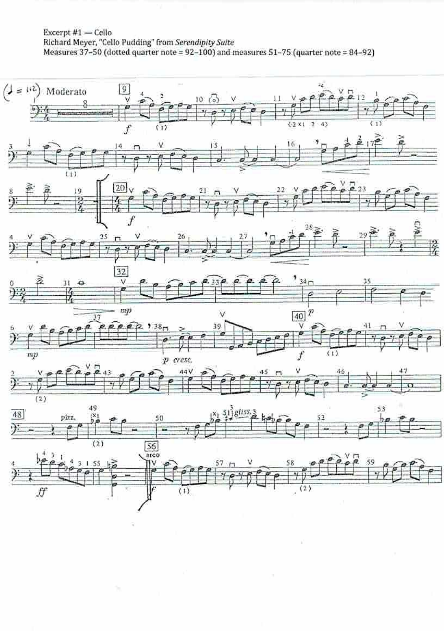## Excerpt #1 - Cello Richard Meyer, "Cello Pudding" from Serendipity Suite Measures 37-50 (dotted quarter note = 92-100) and measures 51-75 (quarter note = 84-92)